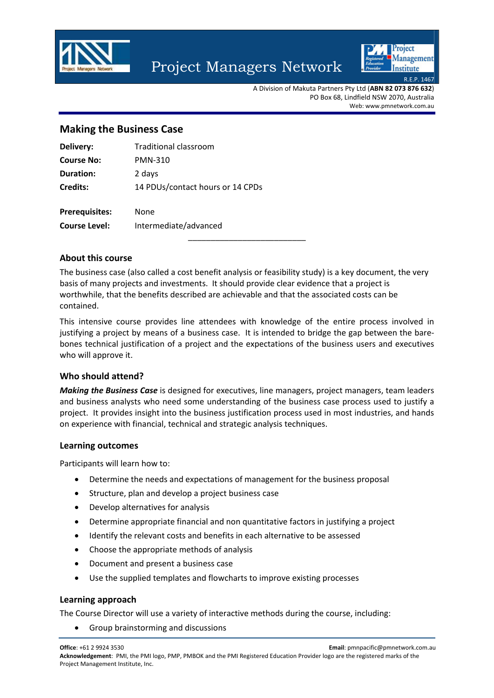

# Project Managers Network



A Division of Makuta Partners Pty Ltd (**ABN 82 073 876 632**) PO Box 68, Lindfield NSW 2070, Australia Web: www.pmnetwork.com.au

# **Making the Business Case**

| Delivery:             | Traditional classroom            |
|-----------------------|----------------------------------|
| <b>Course No:</b>     | PMN-310                          |
| <b>Duration:</b>      | 2 days                           |
| Credits:              | 14 PDUs/contact hours or 14 CPDs |
| <b>Prerequisites:</b> | None                             |

**Course Level:** Intermediate/advanced

### **About this course**

The business case (also called a cost benefit analysis or feasibility study) is a key document, the very basis of many projects and investments. It should provide clear evidence that a project is worthwhile, that the benefits described are achievable and that the associated costs can be contained.

\_\_\_\_\_\_\_\_\_\_\_\_\_\_\_\_\_\_\_\_\_\_\_\_\_\_

This intensive course provides line attendees with knowledge of the entire process involved in justifying a project by means of a business case. It is intended to bridge the gap between the bare‐ bones technical justification of a project and the expectations of the business users and executives who will approve it.

### **Who should attend?**

*Making the Business Case* is designed for executives, line managers, project managers, team leaders and business analysts who need some understanding of the business case process used to justify a project. It provides insight into the business justification process used in most industries, and hands on experience with financial, technical and strategic analysis techniques.

### **Learning outcomes**

Participants will learn how to:

- Determine the needs and expectations of management for the business proposal
- Structure, plan and develop a project business case
- Develop alternatives for analysis
- Determine appropriate financial and non quantitative factors in justifying a project
- Identify the relevant costs and benefits in each alternative to be assessed
- Choose the appropriate methods of analysis
- Document and present a business case
- Use the supplied templates and flowcharts to improve existing processes

#### **Learning approach**

The Course Director will use a variety of interactive methods during the course, including:

Group brainstorming and discussions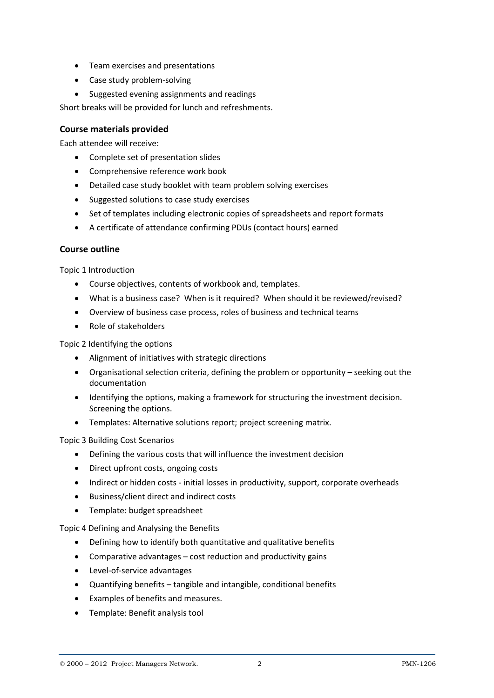- Team exercises and presentations
- Case study problem-solving
- Suggested evening assignments and readings

Short breaks will be provided for lunch and refreshments.

## **Course materials provided**

Each attendee will receive:

- Complete set of presentation slides
- Comprehensive reference work book
- Detailed case study booklet with team problem solving exercises
- Suggested solutions to case study exercises
- Set of templates including electronic copies of spreadsheets and report formats
- A certificate of attendance confirming PDUs (contact hours) earned

### **Course outline**

Topic 1 Introduction

- Course objectives, contents of workbook and, templates.
- What is a business case? When is it required? When should it be reviewed/revised?
- Overview of business case process, roles of business and technical teams
- Role of stakeholders

Topic 2 Identifying the options

- Alignment of initiatives with strategic directions
- Organisational selection criteria, defining the problem or opportunity seeking out the documentation
- Identifying the options, making a framework for structuring the investment decision. Screening the options.
- Templates: Alternative solutions report; project screening matrix.

Topic 3 Building Cost Scenarios

- Defining the various costs that will influence the investment decision
- Direct upfront costs, ongoing costs
- Indirect or hidden costs initial losses in productivity, support, corporate overheads
- Business/client direct and indirect costs
- Template: budget spreadsheet

Topic 4 Defining and Analysing the Benefits

- Defining how to identify both quantitative and qualitative benefits
- Comparative advantages cost reduction and productivity gains
- Level-of-service advantages
- Quantifying benefits tangible and intangible, conditional benefits
- Examples of benefits and measures.
- Template: Benefit analysis tool